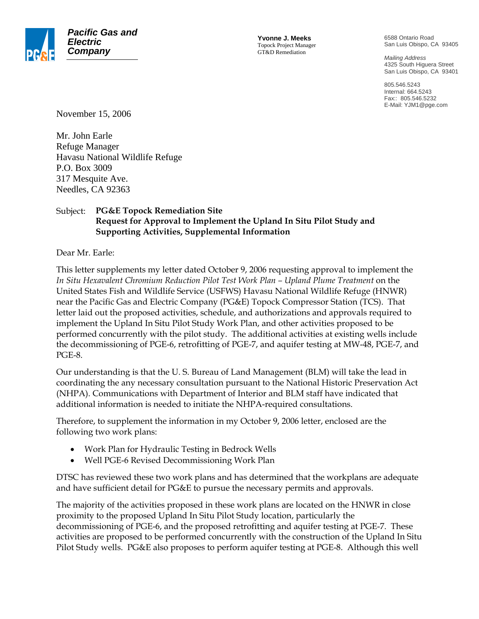

**Yvonne J. Meeks** Topock Project Manager GT&D Remediation

6588 Ontario Road San Luis Obispo, CA 93405

*Mailing Address*  4325 South Higuera Street San Luis Obispo, CA 93401

805.546.5243 Internal: 664.5243 Fax:: 805.546.5232 E-Mail: YJM1@pge.com

November 15, 2006

Mr. John Earle Refuge Manager Havasu National Wildlife Refuge P.O. Box 3009 317 Mesquite Ave. Needles, CA 92363

## Subject: **PG&E Topock Remediation Site Request for Approval to Implement the Upland In Situ Pilot Study and Supporting Activities, Supplemental Information**

Dear Mr. Earle:

This letter supplements my letter dated October 9, 2006 requesting approval to implement the *In Situ Hexavalent Chromium Reduction Pilot Test Work Plan – Upland Plume Treatment* on the United States Fish and Wildlife Service (USFWS) Havasu National Wildlife Refuge (HNWR) near the Pacific Gas and Electric Company (PG&E) Topock Compressor Station (TCS). That letter laid out the proposed activities, schedule, and authorizations and approvals required to implement the Upland In Situ Pilot Study Work Plan, and other activities proposed to be performed concurrently with the pilot study. The additional activities at existing wells include the decommissioning of PGE-6, retrofitting of PGE-7, and aquifer testing at MW-48, PGE-7, and PGE-8.

Our understanding is that the U. S. Bureau of Land Management (BLM) will take the lead in coordinating the any necessary consultation pursuant to the National Historic Preservation Act (NHPA). Communications with Department of Interior and BLM staff have indicated that additional information is needed to initiate the NHPA-required consultations.

Therefore, to supplement the information in my October 9, 2006 letter, enclosed are the following two work plans:

- Work Plan for Hydraulic Testing in Bedrock Wells
- Well PGE-6 Revised Decommissioning Work Plan

DTSC has reviewed these two work plans and has determined that the workplans are adequate and have sufficient detail for PG&E to pursue the necessary permits and approvals.

The majority of the activities proposed in these work plans are located on the HNWR in close proximity to the proposed Upland In Situ Pilot Study location, particularly the decommissioning of PGE-6, and the proposed retrofitting and aquifer testing at PGE-7. These activities are proposed to be performed concurrently with the construction of the Upland In Situ Pilot Study wells. PG&E also proposes to perform aquifer testing at PGE-8. Although this well